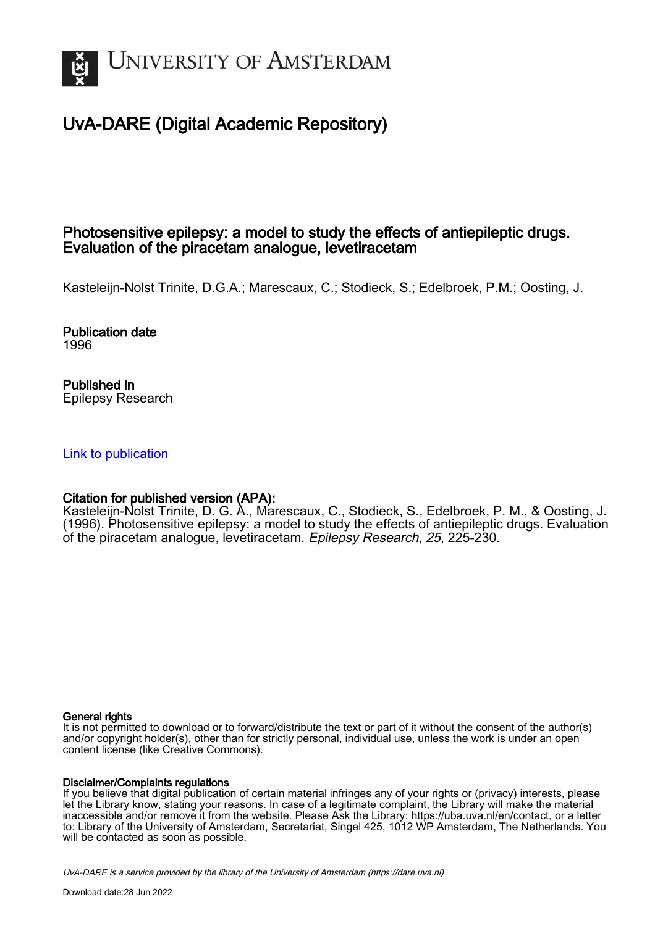

# UvA-DARE (Digital Academic Repository)

# Photosensitive epilepsy: a model to study the effects of antiepileptic drugs. Evaluation of the piracetam analogue, levetiracetam

Kasteleijn-Nolst Trinite, D.G.A.; Marescaux, C.; Stodieck, S.; Edelbroek, P.M.; Oosting, J.

Publication date 1996

Published in Epilepsy Research

[Link to publication](https://dare.uva.nl/personal/pure/en/publications/photosensitive-epilepsy-a-model-to-study-the-effects-of-antiepileptic-drugs-evaluation-of-the-piracetam-analogue-levetiracetam(9eadba5f-a6db-46c9-83d5-c3e52f70de5c).html)

# Citation for published version (APA):

Kasteleijn-Nolst Trinite, D. G. A., Marescaux, C., Stodieck, S., Edelbroek, P. M., & Oosting, J. (1996). Photosensitive epilepsy: a model to study the effects of antiepileptic drugs. Evaluation of the piracetam analogue, levetiracetam. Epilepsy Research, 25, 225-230.

# General rights

It is not permitted to download or to forward/distribute the text or part of it without the consent of the author(s) and/or copyright holder(s), other than for strictly personal, individual use, unless the work is under an open content license (like Creative Commons).

# Disclaimer/Complaints regulations

If you believe that digital publication of certain material infringes any of your rights or (privacy) interests, please let the Library know, stating your reasons. In case of a legitimate complaint, the Library will make the material inaccessible and/or remove it from the website. Please Ask the Library: https://uba.uva.nl/en/contact, or a letter to: Library of the University of Amsterdam, Secretariat, Singel 425, 1012 WP Amsterdam, The Netherlands. You will be contacted as soon as possible.

UvA-DARE is a service provided by the library of the University of Amsterdam (http*s*://dare.uva.nl)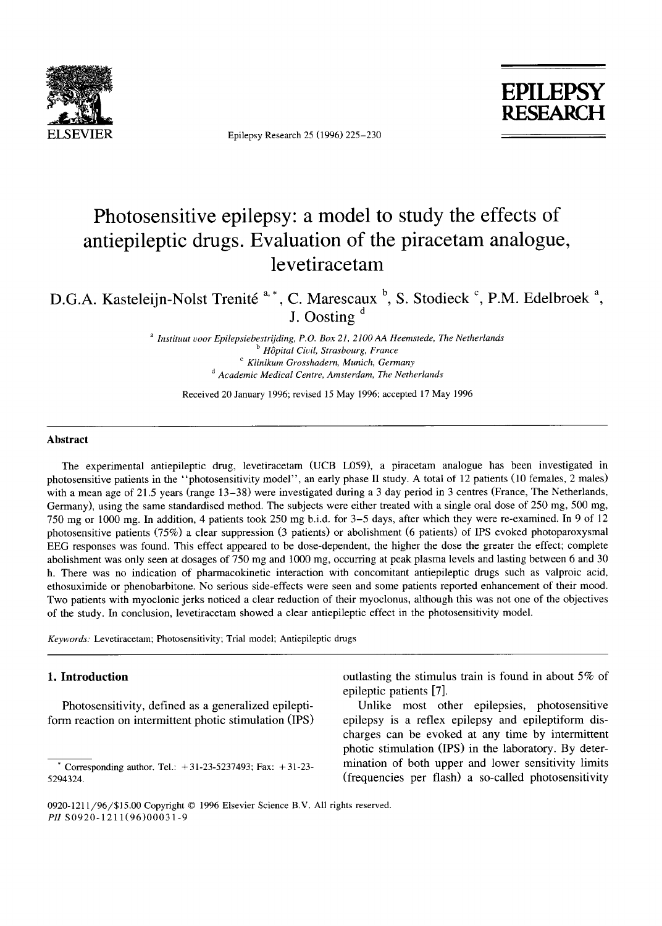

Epilepsy Research 25 (1996) 225-230



# **Photosensitive epilepsy: a model to study the effects of antiepileptic drugs. Evaluation of the piracetam analogue, levetiracetam**

D.G.A. Kasteleijn-Nolst Trenité<sup>a,\*</sup>, C. Marescaux<sup>b</sup>, S. Stodieck<sup>c</sup>, P.M. Edelbroek<sup>a</sup>, **J. Oosting d** 

> *a Instituut voor Epilepsiebestrijding, P.O. Box 21, 2100 AA Heemstede, The Netherlands b H~pital Civil, Strasbourg, France c Klinikum Grosshadern, Munich, Germany o Academic Medical Centre. Amsterdam, The Netherlands*

Received 20 January 1996; revised 15 May 1996; accepted 17 May 1996

#### **Abstract**

The experimental antiepileptic drug, levetiracetam (UCB L059), a piracetam analogue has been investigated in photosensitive patients in the "photosensitivity model", an early phase II study. A total of 12 patients (10 females, 2 males) with a mean age of 21.5 years (range 13–38) were investigated during a 3 day period in 3 centres (France, The Netherlands, Germany), using the same standardised method. The subjects were either treated with a single oral dose of 250 mg, 500 mg, 750 mg or 1000 mg. In addition, 4 patients took 250 mg b.i.d, for 3-5 days, after which they were re-examined. In 9 of 12 photosensitive patients (75%) a clear suppression (3 patients) or abolishment (6 patients) of IPS evoked photoparoxysmal **EEG** responses was found. This effect appeared to be dose-dependent, the higher the dose the greater the effect; complete abolishment was only seen at dosages of 750 mg and 1000 mg, occurring at peak plasma levels and lasting between 6 and 30 h. There was no indication of pharmacokinetic interaction with concomitant antiepileptic drugs such as valproic acid, ethosuximide or phenobarbitone. No serious side-effects were seen and some patients reported enhancement of their mood. Two patients with myoclonic jerks noticed a clear reduction of their myoclonus, although this was not one of the objectives of the study. In conclusion, levetiracetam showed a clear antiepileptic effect in the photosensitivity model.

*Keywords:* Levetiracetam; Photosensitivity; Trial model; Antiepileptic drugs

# 1. **Introduction**

Photosensitivity, defined as a generalized epileptiform reaction on intermittent photic stimulation (IPS) outlasting the stimulus train is found in about 5% of epileptic patients [7].

Unlike most other epilepsies, photosensitive epilepsy is a reflex epilepsy and epileptiform discharges can be evoked at any time by intermittent photic stimulation (IPS) in the laboratory. By determination of both upper and lower sensitivity limits (frequencies per flash) a so-called photosensitivity

Corresponding author. Tel.:  $+31-23-5237493$ ; Fax:  $+31-23-$ 5294324.

<sup>0920-1211/96/\$15.00</sup> Copyright © 1996 Elsevier Science B.V. All rights reserved. *PH* S0920-121 1(96)00031-9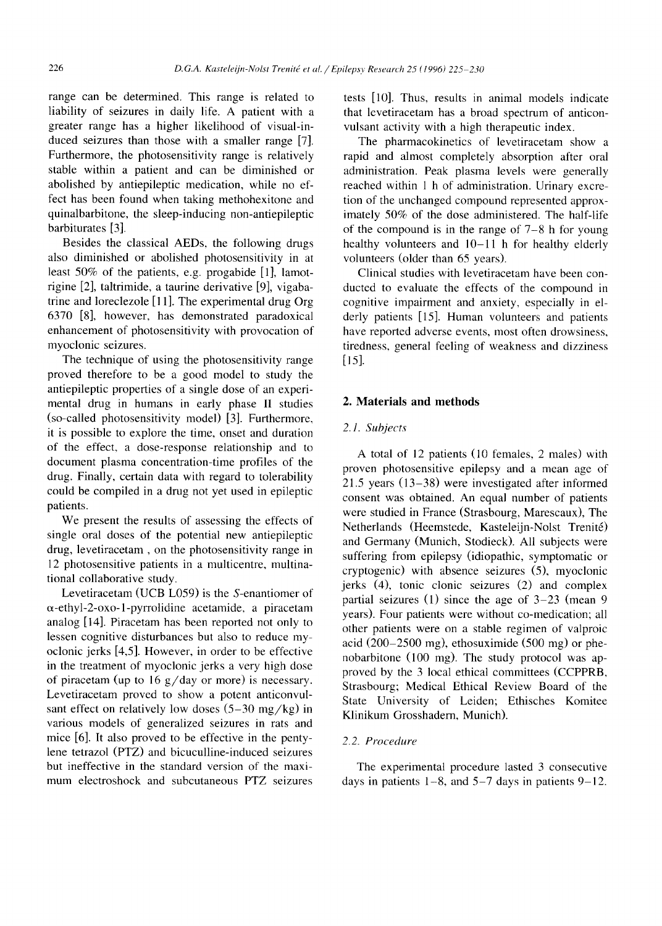range can be determined. This range is related to liability of seizures in daily life. A patient with a greater range has a higher likelihood of visual-induced seizures than those with a smaller range [7]. Furthermore, the photosensitivity range is relatively stable within a patient and can be diminished or abolished by antiepileptic medication, while no effect has been found when taking methohexitone and quinalbarbitone, the sleep-inducing non-antiepileptic barbiturates [3].

Besides the classical AEDs, the following drugs also diminished or abolished photosensitivity in at least 50% of the patients, e.g. progabide [1], lamotrigine [2], taltrimide, a taurine derivative [9], vigabatrine and loreclezole [11]. The experimental drug Org 6370 [8], however, has demonstrated paradoxical enhancement of photosensitivity with provocation of myoclonic seizures.

The technique of using the photosensitivity range proved therefore to be a good model to study the antiepileptic properties of a single dose of an experimental drug in humans in early phase II studies (so-called photosensitivity model) [3]. Furthermore, it is possible to explore the time, onset and duration of the effect, a dose-response relationship and to document plasma concentration-time profiles of the drug. Finally, certain data with regard to tolerability could be compiled in a drug not yet used in epileptic patients.

We present the results of assessing the effects of single oral doses of the potential new antiepileptic drug, levetiracetam, on the photosensitivity range in 12 photosensitive patients in a multicentre, multinational collaborative study.

Levetiracetam (UCB L059) is the S-enantiomer of  $\alpha$ -ethyl-2-oxo-1-pyrrolidine acetamide, a piracetam analog [14]. Piracetam has been reported not only to lessen cognitive disturbances but also to reduce myoclonic jerks [4,5]. However, in order to be effective in the treatment of myoclonic jerks a very high dose of piracetam (up to  $16 \frac{g}{day}$  or more) is necessary. Levetiracetam proved to show a potent anticonvulsant effect on relatively low doses  $(5-30 \text{ mg/kg})$  in various models of generalized seizures in rats and mice [6]. It also proved to be effective in the pentylene tetrazol (PTZ) and bicuculline-induced seizures but ineffective in the standard version of the maximum electroshock and subcutaneous PTZ seizures tests [10]. Thus, results in animal models indicate that levetiracetam has a broad spectrum of anticonvulsant activity with a high therapeutic index.

The pharmacokinetics of levetiracetam show a rapid and almost completely absorption after oral administration. Peak plasma levels were generally reached within 1 h of administration. Urinary excretion of the unchanged compound represented approximately 50% of the dose administered. The half-life of the compound is in the range of 7-8 h for young healthy volunteers and 10-11 h for healthy elderly volunteers (older than 65 years).

Clinical studies with levetiracetam have been conducted to evaluate the effects of the compound in cognitive impairment and anxiety, especially in elderly patients [15]. Human volunteers and patients have reported adverse events, most often drowsiness, tiredness, general feeling of weakness and dizziness [15].

#### **2. Materials and methods**

## 2.1. Subjects

A total of 12 patients (10 females, 2 males) with proven photosensitive epilepsy and a mean age of 21.5 years (13-38) were investigated after informed consent was obtained. An equal number of patients were studied in France (Strasbourg, Marescaux), The Netherlands (Heemstede, Kasteleijn-Nolst Trenité) and Germany (Munich, Stodieck). All subjects were suffering from epilepsy (idiopathic, symptomatic or cryptogenic) with absence seizures (5), myoclonic jerks (4), tonic clonic seizures (2) and complex partial seizures (1) since the age of 3-23 (mean 9 years). Four patients were without co-medication; all other patients were on a stable regimen of valproic acid (200-2500 mg), ethosuximide (500 mg) or phenobarbitone  $(100 \text{ mg})$ . The study protocol was approved by the 3 local ethical committees (CCPPRB, Strasbourg; Medical Ethical Review Board of the State University of Leiden; Ethisches Komitee Klinikum Grosshadern, Munich).

#### *2.2. Procedure*

The experimental procedure lasted 3 consecutive days in patients  $1-8$ , and  $5-7$  days in patients  $9-12$ .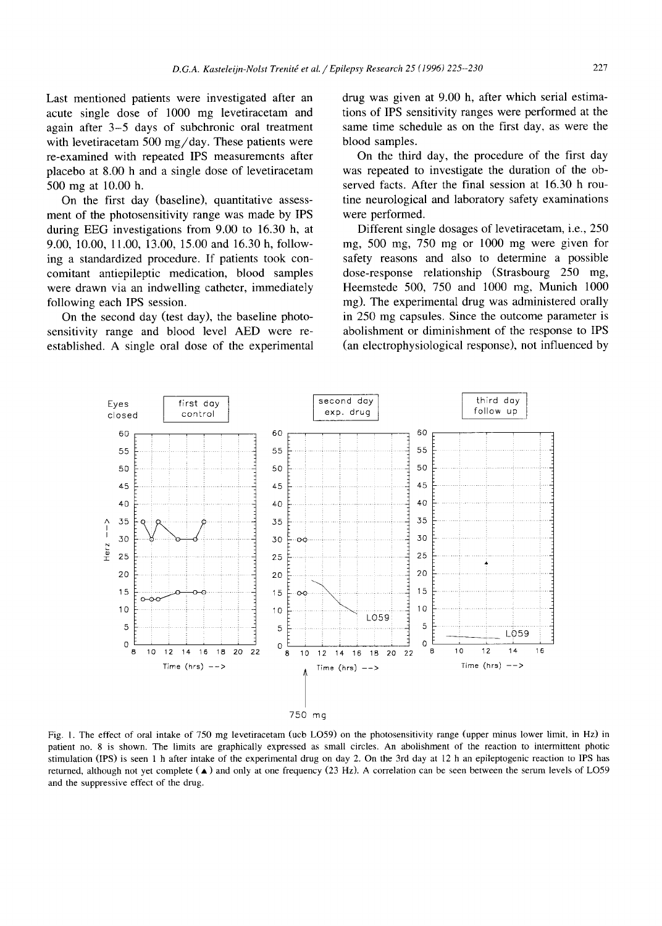**Last mentioned patients were investigated after an acute single dose of 1000 mg levetiracetam and again after 3-5 days of subchronic oral treatment with levetiracetam 500 mg/day. These patients were re-examined with repeated IPS measurements after placebo at 8.00 h and a single dose of levetiracetam 500 mg at 10.00 h.** 

**On the first day (baseline), quantitative assessment of the photosensitivity range was made by IPS during EEG investigations from 9.00 to 16.30 h, at 9.00, 10.00, 11.00, 13.00, 15.00 and 16.30 h, following a standardized procedure. If patients took concomitant antiepileptic medication, blood samples were drawn via an indwelling catheter, immediately following each IPS session.** 

**On the second day (test day), the baseline photosensitivity range and blood level AED were reestablished. A single oral dose of the experimental**  **drug was given at 9.00 h, after which serial estimations of IPS sensitivity ranges were performed at the same time schedule as on the first day, as were the blood samples.** 

**On the third day, the procedure of the first day was repeated to investigate the duration of the observed facts. After the final session at 16.30 h routine neurological and laboratory safety examinations were performed.** 

**Different single dosages of levetiracetam, i.e., 250 mg, 500 mg, 750 mg or 1000 mg were given for safety reasons and also to determine a possible dose-response relationship (Strasbourg 250 mg, Heemstede 500, 750 and 1000 mg, Munich 1000 mg). The experimental drug was administered orally in 250 mg capsules. Since the outcome parameter is abolishment or diminishment of the response to IPS (an electrophysiological response), not influenced by** 



Fig. 1. **The effect of oral intake of 750 mg levetiracetam (ucb LO59) on the photosensitivity range (upper minus lower limit, in Hz) in patient no. 8 is shown. The limits are graphically expressed as small circles. An abolishment of the reaction to intermittent photic stimulation (IPS) is seen** 1 h **after intake of the experimental drug on day** 2. On **the 3rd day at** 12 h **an epileptogenic reaction to IPS has returned, although not yet complete** (•) **and only at one frequency** (23 Hz). A **correlation can be seen between the serum levels of** LO59 **and the suppressive effect of the drug.**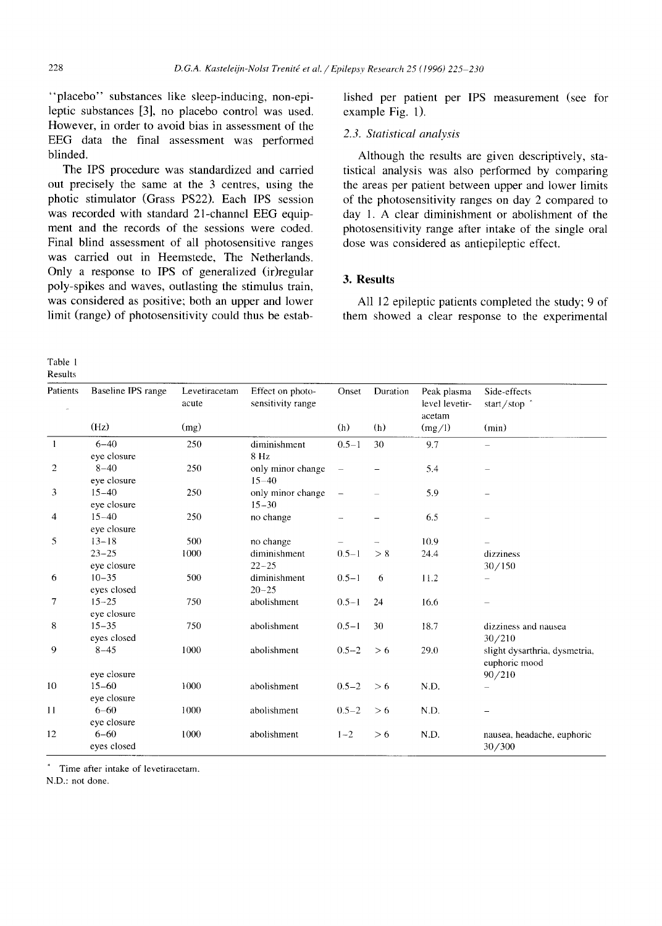**"placebo" substances like sleep-inducing, non-epileptic substances [3], no placebo control was used. However, in order to avoid bias in assessment of the EEG data the final assessment was performed blinded.** 

**The IPS procedure was standardized and carried out precisely the same at the 3 centres, using the photic stimulator (Grass PS22). Each IPS session was recorded with standard 21-channel EEG equipment and the records of the sessions were coded. Final blind assessment of all photosensitive ranges was carried out in Heemstede, The Netherlands.**  Only a response to IPS of generalized (ir)regular **poly-spikes and waves, outlasting the stimulus train, was considered as positive; both an upper and lower limit (range) of photosensitivity could thus be estab-** lished per patient per IPS measurement (see for **example Fig. l).** 

## *2.3. Statistical analysis*

Although the results are given descriptively, statistical analysis was also performed by comparing the areas per patient between upper and lower limits of the photosensitivity ranges on day 2 compared to day 1. A clear diminishment or abolishment of the photosensitivity range after intake of the single oral dose was considered as antiepileptic effect.

# **3. Results**

All **12** epileptic patients completed the study; 9 of them showed a clear response to the experimental

Table 1 Results

| Patients       | Baseline IPS range<br>(H <sub>Z</sub> ) | Levetiracetam<br>acute<br>(mg) | Effect on photo-<br>sensitivity range | Onset<br>(h)  | Duration<br>(h) | Peak plasma<br>level levetir-<br>acetam<br>(mg/l) | Side-effects<br>start/stop $*$<br>(min)        |
|----------------|-----------------------------------------|--------------------------------|---------------------------------------|---------------|-----------------|---------------------------------------------------|------------------------------------------------|
|                |                                         |                                |                                       |               |                 |                                                   |                                                |
| $\overline{2}$ | $8 - 40$<br>eye closure                 | 250                            | only minor change<br>$15 - 40$        |               |                 | 5.4                                               |                                                |
| 3              | $15 - 40$<br>eye closure                | 250                            | only minor change<br>$15 - 30$        | $\frac{1}{2}$ |                 | 5.9                                               |                                                |
| $\overline{4}$ | $15 - 40$<br>eye closure                | 250                            | no change                             |               |                 | 6.5                                               |                                                |
| 5              | $13 - 18$                               | 500                            | no change                             |               |                 | 10.9                                              |                                                |
|                | $23 - 25$<br>eye closure                | 1000                           | diminishment<br>$22 - 25$             | $0.5 - 1$     | > 8             | 24.4                                              | dizziness<br>30/150                            |
| 6              | $10 - 35$<br>eyes closed                | 500                            | diminishment<br>$20 - 25$             | $0.5 - 1$     | 6               | 11.2                                              |                                                |
| 7              | $15 - 25$<br>eye closure                | 750                            | abolishment                           | $0.5 - 1$     | 24              | 16.6                                              |                                                |
| 8              | $15 - 35$<br>eyes closed                | 750                            | abolishment                           | $0.5 - 1$     | 30              | 18.7                                              | dizziness and nausea<br>30/210                 |
| 9              | $8 - 45$                                | 1000                           | abolishment                           | $0.5 - 2$     | > 6             | 29.0                                              | slight dysarthria, dysmetria,<br>euphoric mood |
| 10             | eye closure<br>$15 - 60$<br>eye closure | 1000                           | abolishment                           | $0.5 - 2$     | > 6             | N.D.                                              | 90/210                                         |
| 11             | $6 - 60$<br>eye closure                 | 1000                           | abolishment                           | $0.5 - 2$     | > 6             | N.D.                                              |                                                |
| 12             | $6 - 60$<br>eyes closed                 | 1000                           | abolishment                           | $1 - 2$       | > 6             | N.D.                                              | nausea, headache, euphoric<br>30/300           |

Time after intake of levetiracetam.

N.D.: not done.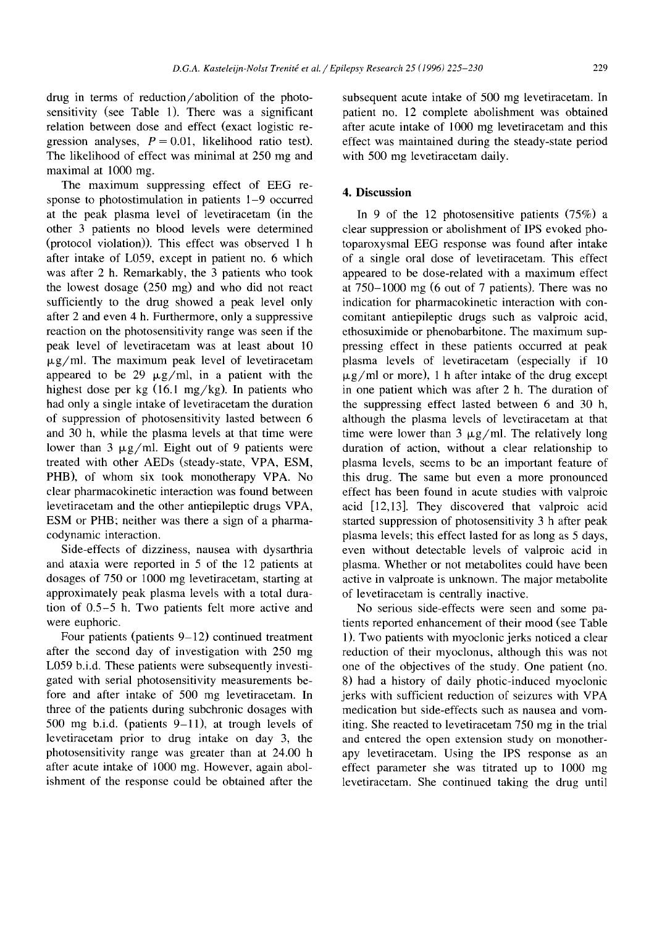drug in terms of reduction/abolition of the photosensitivity (see Table 1). There was a significant relation between dose and effect (exact logistic regression analyses,  $P = 0.01$ , likelihood ratio test). The likelihood of effect was minimal at 250 mg and maximal at 1000 mg.

The maximum suppressing effect of EEG response to photostimulation in patients 1-9 occurred at the peak plasma level of levetiracetam (in the other 3 patients no blood levels were determined (protocol violation)). This effect was observed 1 h after intake of L059, except in patient no. 6 which was after 2 h. Remarkably, the 3 patients who took the lowest dosage (250 mg) and who did not react sufficiently to the drug showed a peak level only after 2 and even 4 h. Furthermore, only a suppressive reaction on the photosensitivity range was seen if the peak level of levetiracetam was at least about 10  $\mu$ g/ml. The maximum peak level of levetiracetam appeared to be 29  $\mu$ g/ml, in a patient with the highest dose per kg (16.1 mg/kg). In patients who had only a single intake of levetiracetam the duration of suppression of photosensitivity lasted between 6 and 30 h, while the plasma levels at that time were lower than 3  $\mu$ g/ml. Eight out of 9 patients were treated with other AEDs (steady-state, VPA, ESM, PHB), of whom six took monotherapy VPA. No clear pharmacokinetic interaction was found between levetiracetam and the other antiepileptic drugs VPA, ESM or PHB; neither was there a sign of a pharmacodynamic interaction.

Side-effects of dizziness, nausea with dysarthria and ataxia were reported in 5 of the 12 patients at dosages of 750 or 1000 mg levetiracetam, starting at approximately peak plasma levels with a total duration of 0.5-5 h. Two patients felt more active and were euphoric.

Four patients (patients  $9-12$ ) continued treatment after the second day of investigation with 250 mg L059 b.i.d. These patients were subsequently investigated with serial photosensitivity measurements before and after intake of 500 mg levetiracetam. In three of the patients during subchronic dosages with 500 mg b.i.d. (patients 9-11), at trough levels of levetiracetam prior to drug intake on day 3, the photosensitivity range was greater than at 24.00 h after acute intake of 1000 mg. However, again abolishment of the response could be obtained after the subsequent acute intake of 500 mg levetiracetam. In patient no. 12 complete abolishment was obtained after acute intake of 1000 mg levetiracetam and this effect was maintained during the steady-state period with 500 mg levetiracetam daily.

### **4. Discussion**

In 9 of the 12 photosensitive patients (75%) a clear suppression or abolishment of IPS evoked photoparoxysmal EEG response was found after intake of a single oral dose of levetiracetam. This effect appeared to be dose-related with a maximum effect at 750-1000 mg (6 out of 7 patients). There was no indication for pharmacokinetic interaction with concomitant antiepileptic drugs such as valproic acid, ethosuximide or phenobarbitone. The maximum suppressing effect in these patients occurred at peak plasma levels of levetiracetam (especially if 10  $\mu$ g/ml or more), 1 h after intake of the drug except in one patient which was after 2 h. The duration of the suppressing effect lasted between 6 and 30 h, although the plasma levels of levetiracetam at that time were lower than  $3 \mu g/ml$ . The relatively long duration of action, without a clear relationship to plasma levels, seems to be an important feature of this drug. The same but even a more pronounced effect has been found in acute studies with valproic acid [12,13]. They discovered that valproic acid started suppression of photosensitivity 3 h after peak plasma levels; this effect lasted for as long as 5 days, even without detectable levels of valproic acid in plasma. Whether or not metabolites could have been active in valproate is unknown. The major metabolite of levetiracetam is centrally inactive.

No serious side-effects were seen and some patients reported enhancement of their mood (see Table 1). Two patients with myoclonic jerks noticed a clear reduction of their myoclonus, although this was not one of the objectives of the study. One patient (no. 8) had a history of daily photic-induced myoclonic jerks with sufficient reduction of seizures with VPA medication but side-effects such as nausea and vomiting. She reacted to levetiracetam 750 mg in the trial and entered the open extension study on monotherapy levetiracetam. Using the IPS response as an effect parameter she was titrated up to 1000 mg levetiracetam. She continued taking the drug until